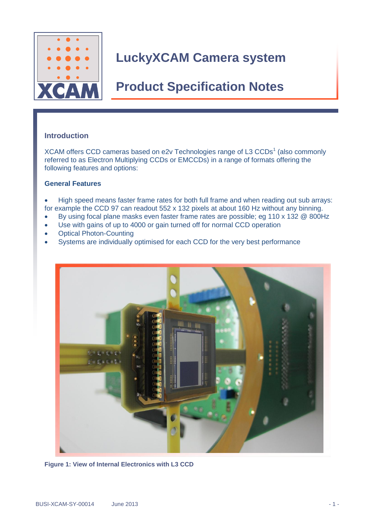

## **Product Specification Notes**

### **Introduction**

XCAM offers CCD cameras based on e2v Technologies range of L3 CCDs<sup>1</sup> (also commonly referred to as Electron Multiplying CCDs or EMCCDs) in a range of formats offering the following features and options:

#### **General Features**

• High speed means faster frame rates for both full frame and when reading out sub arrays: for example the CCD 97 can readout 552 x 132 pixels at about 160 Hz without any binning.

- By using focal plane masks even faster frame rates are possible; eg 110 x 132 @ 800Hz
- Use with gains of up to 4000 or gain turned off for normal CCD operation
- Optical Photon-Counting
- Systems are individually optimised for each CCD for the very best performance



**Figure 1: View of Internal Electronics with L3 CCD**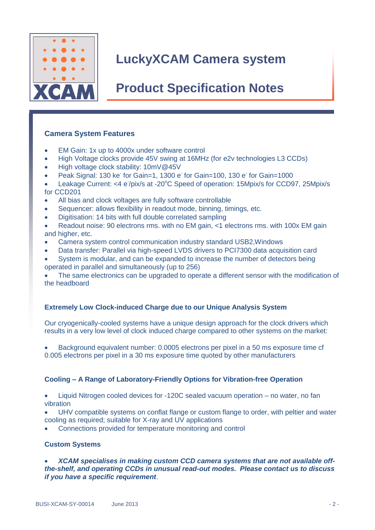

## **Product Specification Notes**

### **Camera System Features**

- EM Gain: 1x up to 4000x under software control
- High Voltage clocks provide 45V swing at 16MHz (for e2v technologies L3 CCDs)
- High voltage clock stability: 10mV@45V
- Peak Signal: 130 ke<sup>-</sup> for Gain=1, 1300 e<sup>-</sup> for Gain=100, 130 e<sup>-</sup> for Gain=1000
- Leakage Current: <4 e<sup>-</sup>/pix/s at -20°C Speed of operation: 15Mpix/s for CCD97, 25Mpix/s for CCD201
- All bias and clock voltages are fully software controllable
- Sequencer: allows flexibility in readout mode, binning, timings, etc.
- Digitisation: 14 bits with full double correlated sampling
- Readout noise: 90 electrons rms. with no EM gain, <1 electrons rms. with 100x EM gain and higher, etc.
- Camera system control communication industry standard USB2,Windows
- Data transfer: Parallel via high-speed LVDS drivers to PCI7300 data acquisition card
- System is modular, and can be expanded to increase the number of detectors being operated in parallel and simultaneously (up to 256)

 The same electronics can be upgraded to operate a different sensor with the modification of the headboard

### **Extremely Low Clock-induced Charge due to our Unique Analysis System**

Our cryogenically-cooled systems have a unique design approach for the clock drivers which results in a very low level of clock induced charge compared to other systems on the market:

 Background equivalent number: 0.0005 electrons per pixel in a 50 ms exposure time cf 0.005 electrons per pixel in a 30 ms exposure time quoted by other manufacturers

### **Cooling – A Range of Laboratory-Friendly Options for Vibration-free Operation**

 Liquid Nitrogen cooled devices for -120C sealed vacuum operation – no water, no fan vibration

 UHV compatible systems on conflat flange or custom flange to order, with peltier and water cooling as required; suitable for X-ray and UV applications

Connections provided for temperature monitoring and control

#### **Custom Systems**

 *XCAM specialises in making custom CCD camera systems that are not available offthe-shelf, and operating CCDs in unusual read-out modes. Please contact us to discuss if you have a specific requirement*.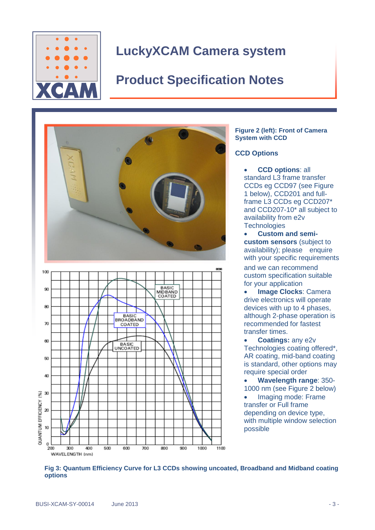

# **Product Specification Notes**



#### **Figure 2 (left): Front of Camera System with CCD**

### **CCD Options**

- **CCD options**: all standard L3 frame transfer CCDs eg CCD97 (see Figure 1 below), CCD201 and fullframe L3 CCDs eg CCD207\* and CCD207-10\* all subject to availability from e2v **Technologies**
- **Custom and semicustom sensors** (subject to availability); please enquire with your specific requirements and we can recommend custom specification suitable for your application
- **Image Clocks**: Camera drive electronics will operate devices with up to 4 phases, although 2-phase operation is recommended for fastest transfer times.
- **Coatings:** any e2v Technologies coating offered\*, AR coating, mid-band coating is standard, other options may require special order
- **Wavelength range**: 350- 1000 nm (see Figure 2 below) • Imaging mode: Frame transfer or Full frame depending on device type, with multiple window selection possible

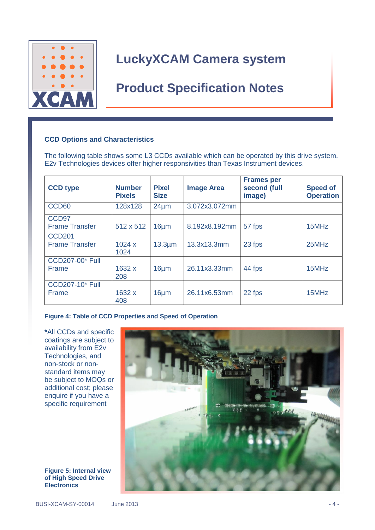

## **Product Specification Notes**

### **CCD Options and Characteristics**

The following table shows some L3 CCDs available which can be operated by this drive system. E2v Technologies devices offer higher responsivities than Texas Instrument devices.

| <b>CCD type</b>                            | <b>Number</b><br><b>Pixels</b> | <b>Pixel</b><br><b>Size</b> | <b>Image Area</b> | <b>Frames per</b><br>second (full<br>image) | <b>Speed of</b><br><b>Operation</b> |
|--------------------------------------------|--------------------------------|-----------------------------|-------------------|---------------------------------------------|-------------------------------------|
| CCD <sub>60</sub>                          | 128x128                        | $24 \mu m$                  | 3.072x3.072mm     |                                             |                                     |
| CCD <sub>97</sub><br><b>Frame Transfer</b> | 512 x 512                      | $16 \mu m$                  | 8.192x8.192mm     | 57 fps                                      | 15MHz                               |
| <b>CCD201</b><br><b>Frame Transfer</b>     | 1024x<br>1024                  | $13.3 \mu m$                | 13.3x13.3mm       | 23 fps                                      | 25MHz                               |
| <b>CCD207-00* Full</b><br>Frame            | 1632 x<br>208                  | $16 \mu m$                  | 26.11x3.33mm      | 44 fps                                      | 15MHz                               |
| <b>CCD207-10* Full</b><br>Frame            | 1632 x<br>408                  | $16 \mu m$                  | 26.11x6.53mm      | 22 fps                                      | 15MHz                               |

**Figure 4: Table of CCD Properties and Speed of Operation**

**\***All CCDs and specific coatings are subject to availability from E2v Technologies, and non-stock or nonstandard items may be subject to MOQs or additional cost; please enquire if you have a specific requirement